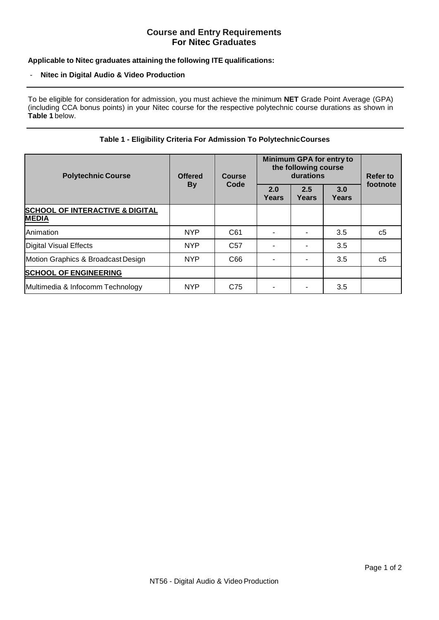# **Course and Entry Requirements For Nitec Graduates**

## **Applicable to Nitec graduates attaining the following ITE qualifications:**

#### - **Nitec in Digital Audio & Video Production**

To be eligible for consideration for admission, you must achieve the minimum **NET** Grade Point Average (GPA) (including CCA bonus points) in your Nitec course for the respective polytechnic course durations as shown in **Table 1** below.

### **Table 1 - Eligibility Criteria For Admission To PolytechnicCourses**

| <b>Polytechnic Course</b>                                  | <b>Offered</b><br><b>By</b> | <b>Course</b><br>Code | Minimum GPA for entry to<br>the following course<br>durations |              |              | <b>Refer to</b> |
|------------------------------------------------------------|-----------------------------|-----------------------|---------------------------------------------------------------|--------------|--------------|-----------------|
|                                                            |                             |                       | 2.0<br><b>Years</b>                                           | 2.5<br>Years | 3.0<br>Years | footnote        |
| <b>SCHOOL OF INTERACTIVE &amp; DIGITAL</b><br><b>MEDIA</b> |                             |                       |                                                               |              |              |                 |
| Animation                                                  | <b>NYP</b>                  | C61                   |                                                               |              | 3.5          | c <sub>5</sub>  |
| Digital Visual Effects                                     | <b>NYP</b>                  | C <sub>57</sub>       |                                                               |              | 3.5          |                 |
| Motion Graphics & Broadcast Design                         | <b>NYP</b>                  | C66                   |                                                               |              | 3.5          | c5              |
| <b>SCHOOL OF ENGINEERING</b>                               |                             |                       |                                                               |              |              |                 |
| Multimedia & Infocomm Technology                           | <b>NYP</b>                  | C75                   |                                                               |              | 3.5          |                 |